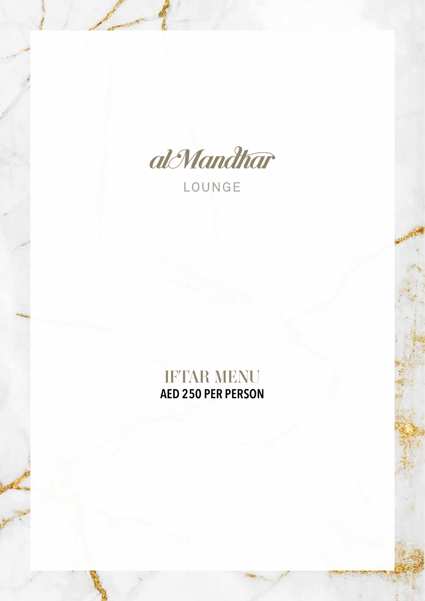

LOUNGE

# IFTAR MENU **AED 250 PER PERSON**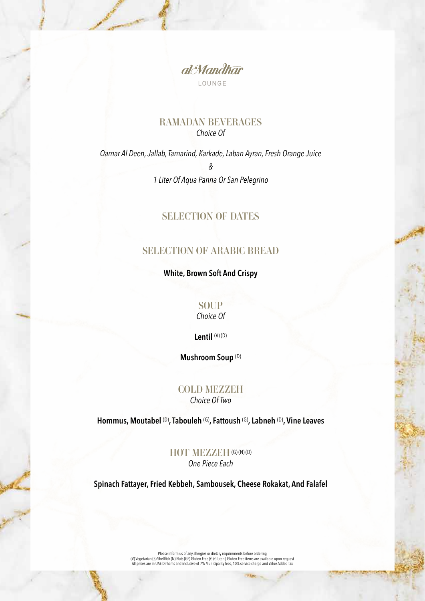

### RAMADAN BEVERAGES *Choice Of*

*Qamar Al Deen, Jallab, Tamarind, Karkade, Laban Ayran, Fresh Orange Juice & 1 Liter Of Aqua Panna Or San Pelegrino* 

## SELECTION OF DATES

## SELECTION OF ARABIC BREAD

**White, Brown Soft And Crispy**

**SOUP** 

*Choice Of*

**Lentil** (V) (D)

**Mushroom Soup** (D)

#### COLD MEZZEH *Choice Of Two*

**Hommus, Moutabel** (D)**, Tabouleh** (G)**, Fattoush** (G)**, Labneh** (D)**, Vine Leaves**

HOT MEZZEH (G) (N) (D) *One Piece Each*

**Spinach Fattayer, Fried Kebbeh, Sambousek, Cheese Rokakat, And Falafel**

Please inform us of any allergies or dietary requirements before ordering<br>(V) Vegetarian (S) Shellfish (N) Nuts (GF) Gluten Free (G) Gluten Fiee items are available upon request)<br>All prices are in UAE Dirhams and inclusive